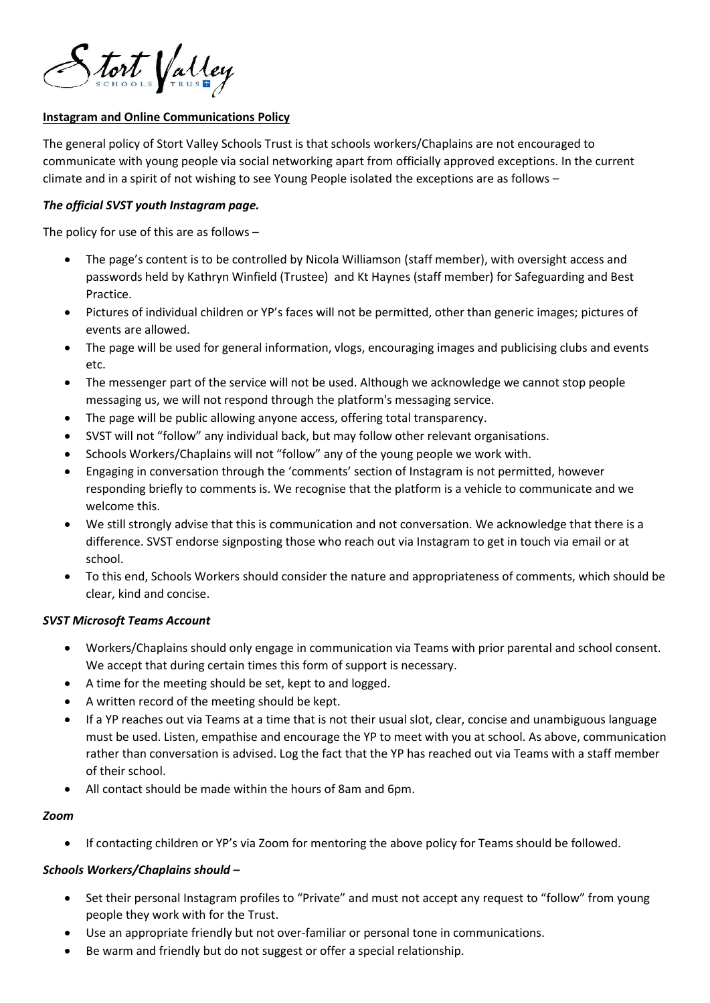

# **Instagram and Online Communications Policy**

The general policy of Stort Valley Schools Trust is that schools workers/Chaplains are not encouraged to communicate with young people via social networking apart from officially approved exceptions. In the current climate and in a spirit of not wishing to see Young People isolated the exceptions are as follows –

# *The official SVST youth Instagram page.*

The policy for use of this are as follows –

- The page's content is to be controlled by Nicola Williamson (staff member), with oversight access and passwords held by Kathryn Winfield (Trustee) and Kt Haynes (staff member) for Safeguarding and Best Practice.
- Pictures of individual children or YP's faces will not be permitted, other than generic images; pictures of events are allowed.
- The page will be used for general information, vlogs, encouraging images and publicising clubs and events etc.
- The messenger part of the service will not be used. Although we acknowledge we cannot stop people messaging us, we will not respond through the platform's messaging service.
- The page will be public allowing anyone access, offering total transparency.
- SVST will not "follow" any individual back, but may follow other relevant organisations.
- Schools Workers/Chaplains will not "follow" any of the young people we work with.
- Engaging in conversation through the 'comments' section of Instagram is not permitted, however responding briefly to comments is. We recognise that the platform is a vehicle to communicate and we welcome this.
- We still strongly advise that this is communication and not conversation. We acknowledge that there is a difference. SVST endorse signposting those who reach out via Instagram to get in touch via email or at school.
- To this end, Schools Workers should consider the nature and appropriateness of comments, which should be clear, kind and concise.

### *SVST Microsoft Teams Account*

- Workers/Chaplains should only engage in communication via Teams with prior parental and school consent. We accept that during certain times this form of support is necessary.
- A time for the meeting should be set, kept to and logged.
- A written record of the meeting should be kept.
- If a YP reaches out via Teams at a time that is not their usual slot, clear, concise and unambiguous language must be used. Listen, empathise and encourage the YP to meet with you at school. As above, communication rather than conversation is advised. Log the fact that the YP has reached out via Teams with a staff member of their school.
- All contact should be made within the hours of 8am and 6pm.

### *Zoom*

• If contacting children or YP's via Zoom for mentoring the above policy for Teams should be followed.

# *Schools Workers/Chaplains should –*

- Set their personal Instagram profiles to "Private" and must not accept any request to "follow" from young people they work with for the Trust.
- Use an appropriate friendly but not over-familiar or personal tone in communications.
- Be warm and friendly but do not suggest or offer a special relationship.